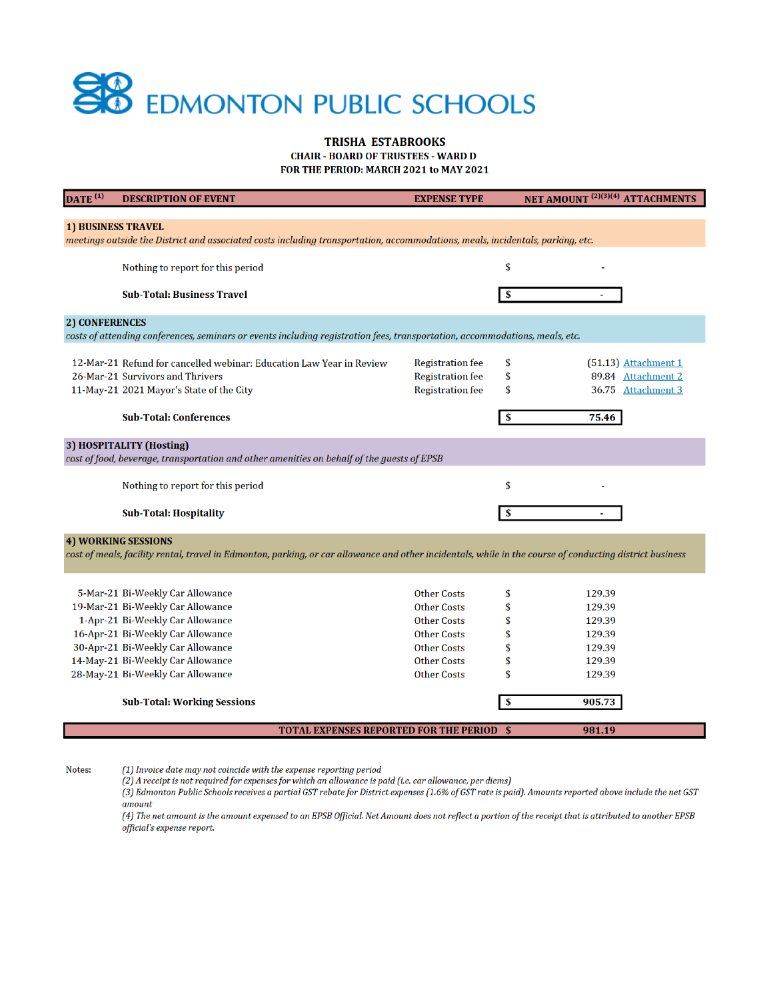

### **TRISHA ESTABROOKS CHAIR - BOARD OF TRUSTEES - WARD D**

FOR THE PERIOD: MARCH 2021 to MAY 2021

| $\overline{\text{DATE}}^{(1)}$                                                                                                                                                         | <b>DESCRIPTION OF EVENT</b>                                          | <b>EXPENSE TYPE</b>     | NET AMOUNT <sup>(2)(3)(4)</sup> ATTACHMENTS |  |  |  |
|----------------------------------------------------------------------------------------------------------------------------------------------------------------------------------------|----------------------------------------------------------------------|-------------------------|---------------------------------------------|--|--|--|
|                                                                                                                                                                                        |                                                                      |                         |                                             |  |  |  |
| <b>1) BUSINESS TRAVEL</b><br>meetings outside the District and associated costs including transportation, accommodations, meals, incidentals, parking, etc.                            |                                                                      |                         |                                             |  |  |  |
|                                                                                                                                                                                        |                                                                      |                         |                                             |  |  |  |
|                                                                                                                                                                                        | Nothing to report for this period                                    |                         | \$                                          |  |  |  |
|                                                                                                                                                                                        |                                                                      |                         |                                             |  |  |  |
|                                                                                                                                                                                        | <b>Sub-Total: Business Travel</b>                                    |                         |                                             |  |  |  |
| 2) CONFERENCES                                                                                                                                                                         |                                                                      |                         |                                             |  |  |  |
| costs of attending conferences, seminars or events including registration fees, transportation, accommodations, meals, etc.                                                            |                                                                      |                         |                                             |  |  |  |
|                                                                                                                                                                                        |                                                                      |                         |                                             |  |  |  |
|                                                                                                                                                                                        | 12-Mar-21 Refund for cancelled webinar: Education Law Year in Review | <b>Registration fee</b> | \$<br>$(51.13)$ Attachment 1                |  |  |  |
|                                                                                                                                                                                        | 26-Mar-21 Survivors and Thrivers                                     | <b>Registration fee</b> | 89.84 Attachment 2<br>\$                    |  |  |  |
|                                                                                                                                                                                        | 11-May-21 2021 Mayor's State of the City                             | <b>Registration fee</b> | \$<br>36.75 Attachment 3                    |  |  |  |
|                                                                                                                                                                                        | <b>Sub-Total: Conferences</b>                                        |                         | 75.46                                       |  |  |  |
|                                                                                                                                                                                        |                                                                      |                         |                                             |  |  |  |
|                                                                                                                                                                                        | 3) HOSPITALITY (Hosting)                                             |                         |                                             |  |  |  |
| cost of food, beverage, transportation and other amenities on behalf of the guests of EPSB                                                                                             |                                                                      |                         |                                             |  |  |  |
|                                                                                                                                                                                        |                                                                      |                         |                                             |  |  |  |
|                                                                                                                                                                                        | Nothing to report for this period                                    |                         | \$                                          |  |  |  |
|                                                                                                                                                                                        | <b>Sub-Total: Hospitality</b>                                        |                         |                                             |  |  |  |
|                                                                                                                                                                                        |                                                                      |                         |                                             |  |  |  |
| <b>4) WORKING SESSIONS</b><br>cost of meals, facility rental, travel in Edmonton, parking, or car allowance and other incidentals, while in the course of conducting district business |                                                                      |                         |                                             |  |  |  |
|                                                                                                                                                                                        |                                                                      |                         |                                             |  |  |  |
|                                                                                                                                                                                        |                                                                      |                         |                                             |  |  |  |
|                                                                                                                                                                                        | 5-Mar-21 Bi-Weekly Car Allowance                                     | <b>Other Costs</b>      | \$<br>129.39                                |  |  |  |
|                                                                                                                                                                                        | 19-Mar-21 Bi-Weekly Car Allowance                                    | <b>Other Costs</b>      | \$<br>129.39                                |  |  |  |
|                                                                                                                                                                                        | 1-Apr-21 Bi-Weekly Car Allowance                                     | <b>Other Costs</b>      | 129.39                                      |  |  |  |
|                                                                                                                                                                                        | 16-Apr-21 Bi-Weekly Car Allowance                                    | <b>Other Costs</b>      | 129.39                                      |  |  |  |
|                                                                                                                                                                                        | 30-Apr-21 Bi-Weekly Car Allowance                                    | <b>Other Costs</b>      | 129.39                                      |  |  |  |
|                                                                                                                                                                                        | 14-May-21 Bi-Weekly Car Allowance                                    | <b>Other Costs</b>      | 129.39                                      |  |  |  |
|                                                                                                                                                                                        | 28-May-21 Bi-Weekly Car Allowance                                    | <b>Other Costs</b>      | \$<br>129.39                                |  |  |  |
|                                                                                                                                                                                        |                                                                      |                         | 905.73<br>\$                                |  |  |  |
|                                                                                                                                                                                        | <b>Sub-Total: Working Sessions</b>                                   |                         |                                             |  |  |  |
|                                                                                                                                                                                        | <b>TOTAL EXPENSES REPORTED FOR THE PERIOD \$</b>                     |                         | 981.19                                      |  |  |  |

(1) Invoice date may not coincide with the expense reporting period Notes: (2) A receipt is not required for expenses for which an allowance is paid (i.e. car allowance, per diems) (3) Edmonton Public Schools receives a partial GST rebate for District expenses (1.6% of GST rate is paid). Amounts reported above include the net GST amount

(4) The net amount is the amount expensed to an EPSB Official. Net Amount does not reflect a portion of the receipt that is attributed to another EPSB official's expense report.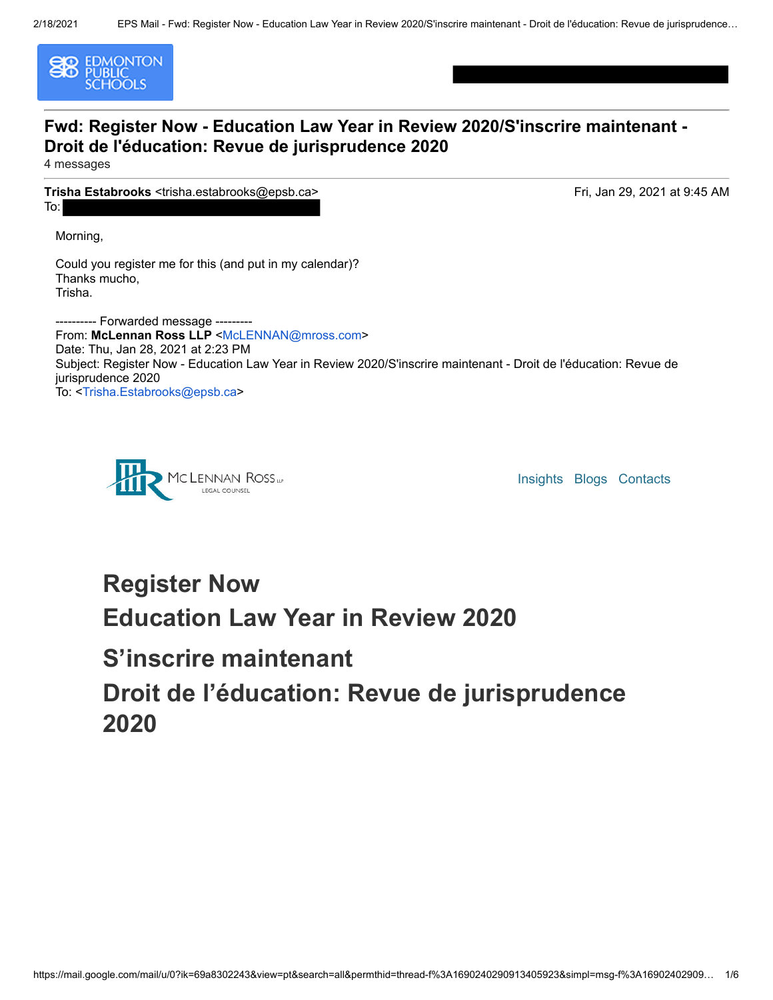

### **Fwd: Register Now - Education Law Year in Review 2020/S'inscrire maintenant - Droit de l'éducation: Revue de jurisprudence 2020**

4 messages

**Trisha Estabrooks** <trisha.estabrooks@epsb.ca> To:

Fri, Jan 29, 2021 at 9:45 AM

Morning,

Could you register me for this (and put in my calendar)? Thanks mucho, Trisha.

---------- Forwarded message --------- From: McLennan Ross LLP <McLENNAN@mross.com> Date: Thu, Jan 28, 2021 at 2:23 PM Subject: Register Now - Education Law Year in Review 2020/S'inscrire maintenant - Droit de l'éducation: Revue de jurisprudence 2020 To: <Trisha.Estabrooks@epsb.ca>



Insights Blogs Contacts

# **Register Now Education Law Year in Review 2020**

## **S'inscrire maintenant**

# **Droit de l'éducation: Revue de jurisprudence 2020**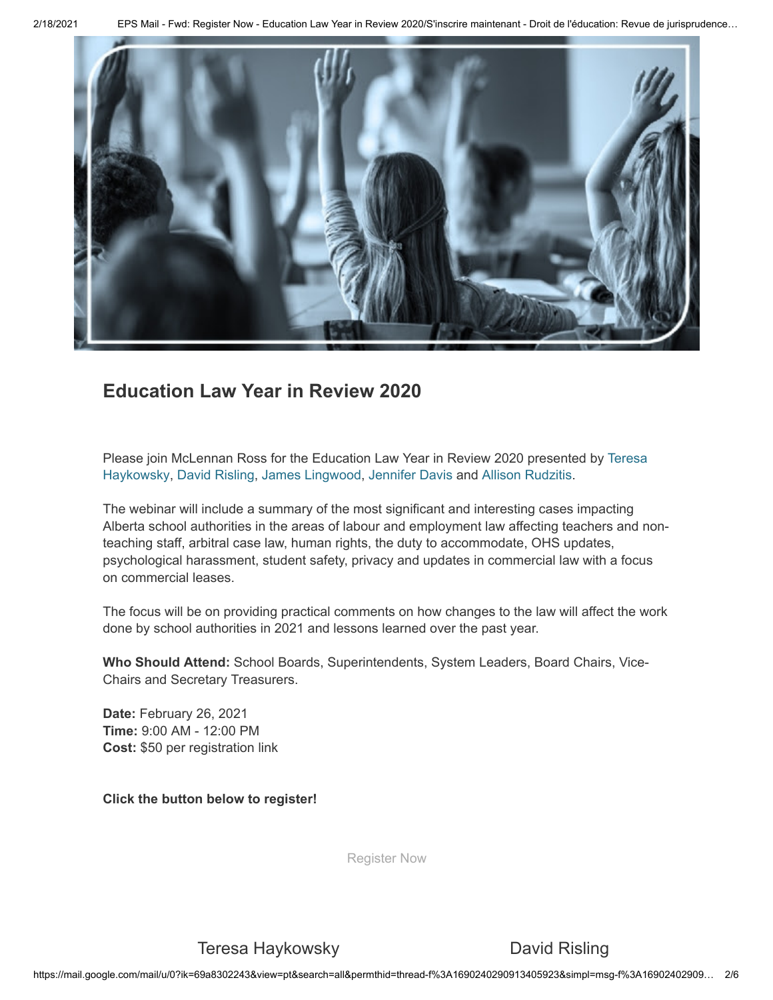2/18/2021 EPS Mail - Fwd: Register Now - Education Law Year in Review 2020/S'inscrire maintenant - Droit de l'éducation: Revue de jurisprudence…



### **Education Law Year in Review 2020**

Please join McLennan Ross for the Education Law Year in Review 2020 presented by Teresa Haykowsky, David Risling, James Lingwood, Jennifer Davis and Allison Rudzitis.

The webinar will include a summary of the most significant and interesting cases impacting Alberta school authorities in the areas of labour and employment law affecting teachers and nonteaching staff, arbitral case law, human rights, the duty to accommodate, OHS updates, psychological harassment, student safety, privacy and updates in commercial law with a focus on commercial leases.

The focus will be on providing practical comments on how changes to the law will affect the work done by school authorities in 2021 and lessons learned over the past year.

**Who Should Attend:** School Boards, Superintendents, System Leaders, Board Chairs, Vice-Chairs and Secretary Treasurers.

**Date:** February 26, 2021 **Time:** 9:00 AM - 12:00 PM **Cost:** \$50 per registration link

**Click the button below to register!**

Register Now

Teresa Haykowsky **David Risling**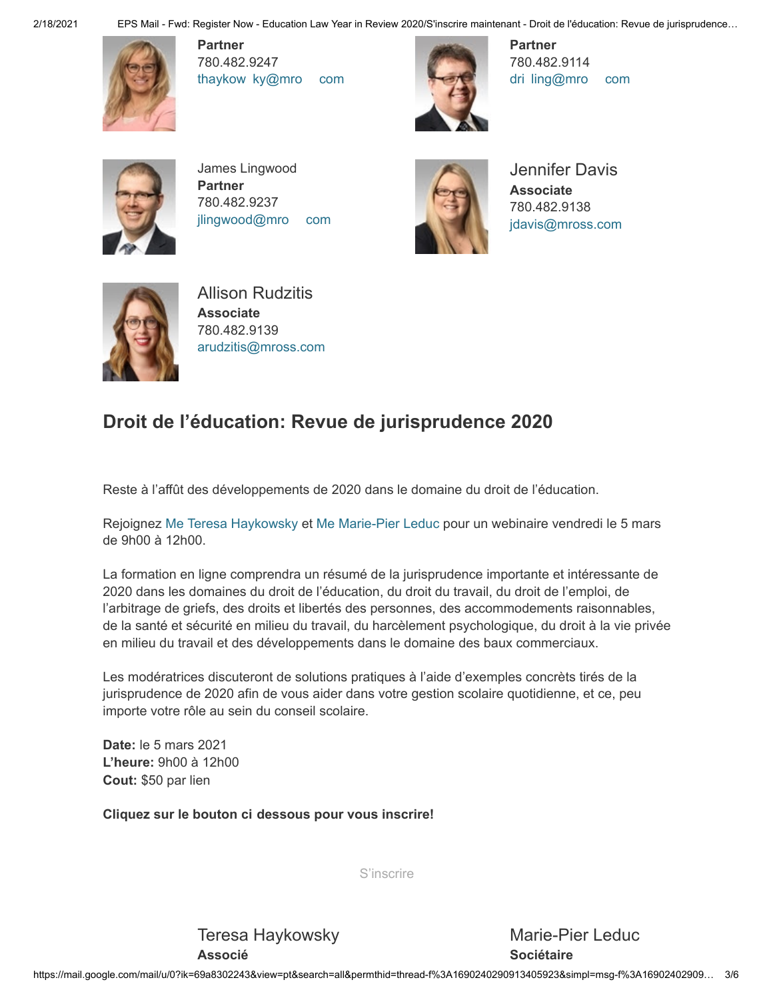2/18/2021 EPS Mail - Fwd: Register Now - Education Law Year in Review 2020/S'inscrire maintenant - Droit de l'éducation: Revue de jurisprudence…



**Partner** 780.482.9247 thaykow ky@mro com



**Partner** 780.482.9114 dri ling@mro com



James Lingwood **Partner**  780.482.9237 jlingwood@mro com



Jennifer Davis **Associate** 780.482.9138 jdavis@mross.com



Allison Rudzitis **Associate** 780.482.9139 arudzitis@mross.com

### **Droit de l'éducation: Revue de jurisprudence 2020**

Reste à l'affût des développements de 2020 dans le domaine du droit de l'éducation.

Rejoignez Me Teresa Haykowsky et Me Marie-Pier Leduc pour un webinaire vendredi le 5 mars de 9h00 à 12h00.

La formation en ligne comprendra un résumé de la jurisprudence importante et intéressante de 2020 dans les domaines du droit de l'éducation, du droit du travail, du droit de l'emploi, de l'arbitrage de griefs, des droits et libertés des personnes, des accommodements raisonnables, de la santé et sécurité en milieu du travail, du harcèlement psychologique, du droit à la vie privée en milieu du travail et des développements dans le domaine des baux commerciaux.

Les modératrices discuteront de solutions pratiques à l'aide d'exemples concrèts tirés de la jurisprudence de 2020 afin de vous aider dans votre gestion scolaire quotidienne, et ce, peu importe votre rôle au sein du conseil scolaire.

**Date:** le 5 mars 2021 **L'heure:** 9h00 à 12h00 **Cout:** \$50 par lien

**Cliquez sur le bouton ci dessous pour vous inscrire!**

S'inscrire

Teresa Haykowsky **Associé**

Marie-Pier Leduc **Sociétaire**

https://mail.google.com/mail/u/0?ik=69a8302243&view=pt&search=all&permthid=thread-f%3A1690240290913405923&simpl=msg-f%3A16902402909… 3/6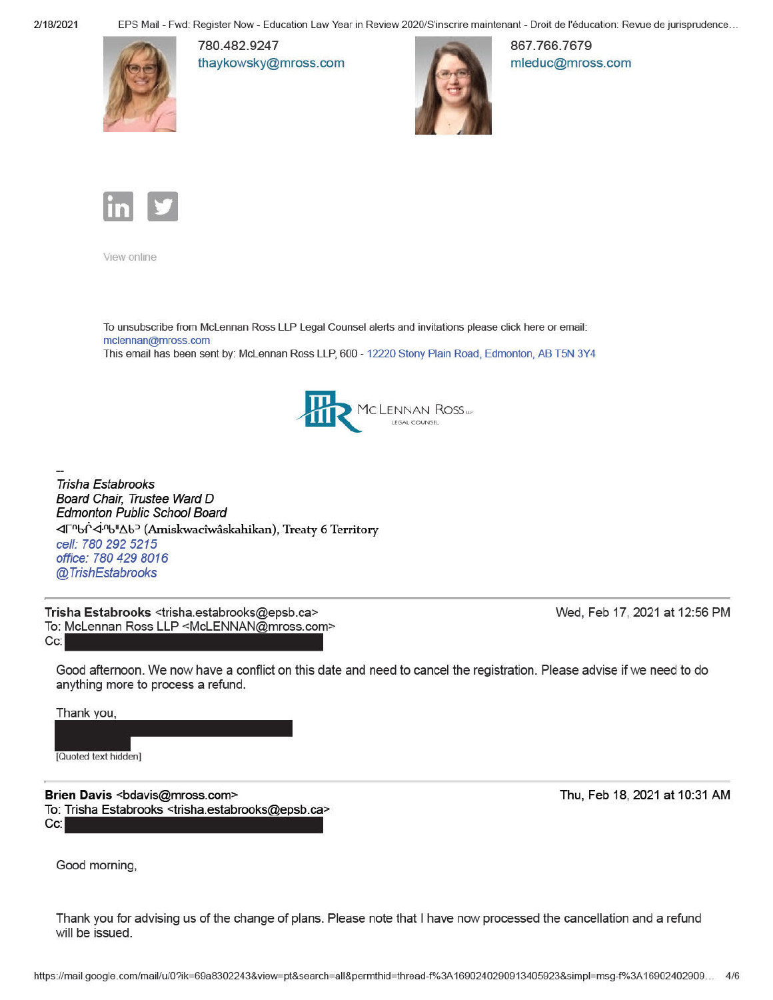2/18/2021

EPS Mail - Fwd: Register Now - Education Law Year in Review 2020/S'inscrire maintenant - Droit de l'éducation: Revue de jurisprudence...



780.482.9247 thaykowsky@mross.com



867.766.7679 mleduc@mross.com



View online

To unsubscribe from McLennan Ross LLP Legal Counsel alerts and invitations please click here or email: mclennan@mross.com This email has been sent by: McLennan Ross LLP, 600 - 12220 Stony Plain Road, Edmonton, AB T5N 3Y4



**Trisha Estabrooks** Board Chair, Trustee Ward D **Edmonton Public School Board** <d「<sup>n</sup>bſ<sup>`</sup><i<sup>n</sup>b"∆b<sup>2</sup> (Amiskwacîwâskahikan), Treaty 6 Territory cell: 780 292 5215 office: 780 429 8016 @TrishEstabrooks

Trisha Estabrooks <trisha.estabrooks@epsb.ca> To: McLennan Ross LLP <McLENNAN@mross.com> Cc:

Wed, Feb 17, 2021 at 12:56 PM

Good afternoon. We now have a conflict on this date and need to cancel the registration. Please advise if we need to do anything more to process a refund.

Thank you,

[Quoted text hidden]

Brien Davis <bdavis@mross.com> To: Trisha Estabrooks <trisha.estabrooks@epsb.ca> Cc:

Thu, Feb 18, 2021 at 10:31 AM

Good morning,

Thank you for advising us of the change of plans. Please note that I have now processed the cancellation and a refund will be issued.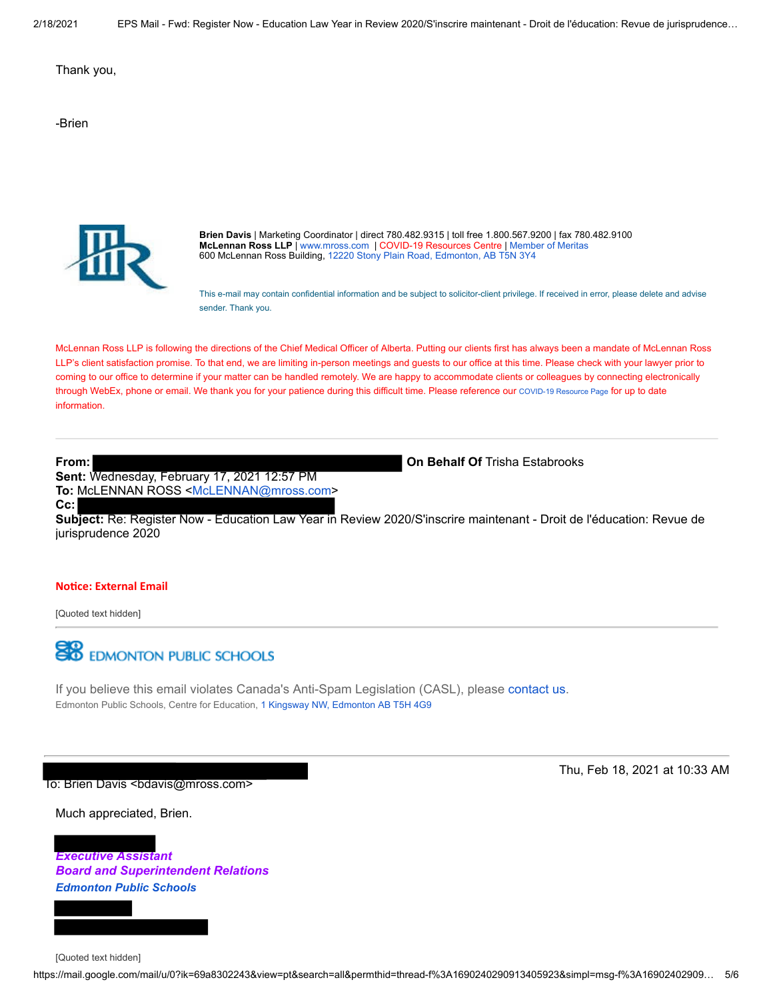Thank you,

-Brien



**Brien Davis** | Marketing Coordinator | direct 780.482.9315 | toll free 1.800.567.9200 | fax 780.482.9100 **McLennan Ross LLP** | www.mross.com | COVID-19 Resources Centre | Member of Meritas 600 McLennan Ross Building, 12220 Stony Plain Road, Edmonton, AB T5N 3Y4

This e-mail may contain confidential information and be subject to solicitor-client privilege. If received in error, please delete and advise sender. Thank you.

McLennan Ross LLP is following the directions of the Chief Medical Officer of Alberta. Putting our clients first has always been a mandate of McLennan Ross LLP's client satisfaction promise. To that end, we are limiting in-person meetings and guests to our office at this time. Please check with your lawyer prior to coming to our office to determine if your matter can be handled remotely. We are happy to accommodate clients or colleagues by connecting electronically through WebEx, phone or email. We thank you for your patience during this difficult time. Please reference our COVID-19 Resource Page for up to date information.

**From: On Behalf Of** Trisha Estabrooks **Sent:** Wednesday, February 17, 2021 12:57 PM **To:** McLENNAN ROSS <McLENNAN@mross.com> **Cc:**

**Subject:** Re: Register Now - Education Law Year in Review 2020/S'inscrire maintenant - Droit de l'éducation: Revue de jurisprudence 2020

#### **Noce: External Email**

[Quoted text hidden]



If you believe this email violates Canada's Anti-Spam Legislation (CASL), please contact us. Edmonton Public Schools, Centre for Education, 1 Kingsway NW, Edmonton AB T5H 4G9

To: Brien Davis <bdavis@mross.com>

Thu, Feb 18, 2021 at 10:33 AM

Much appreciated, Brien.

*Executive Assistant Board and Superintendent Relations Edmonton Public Schools*



[Quoted text hidden]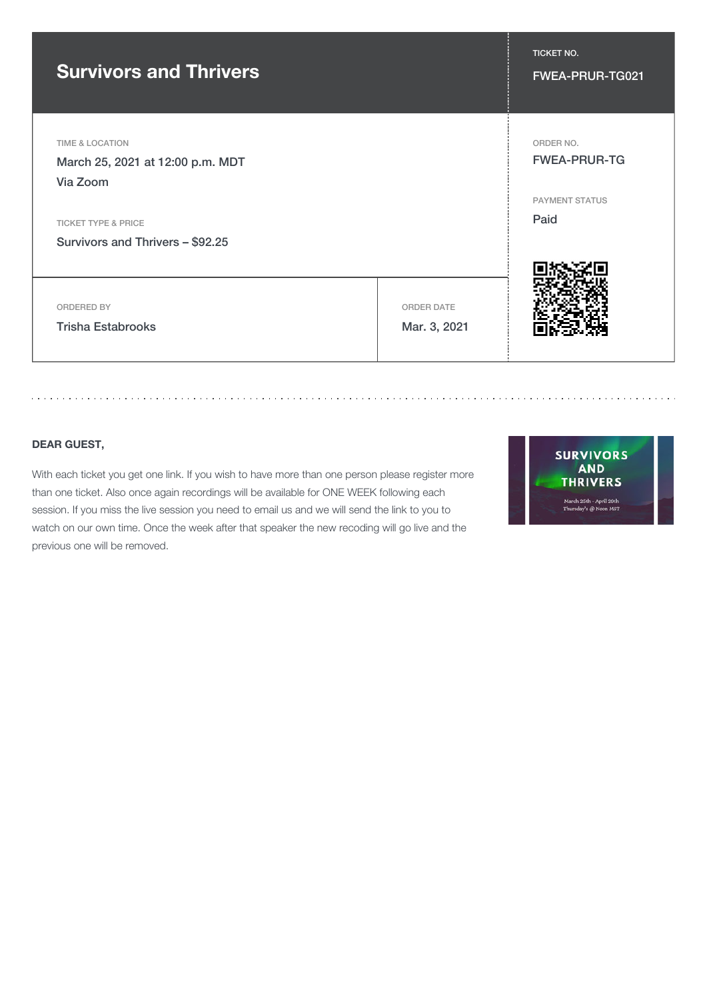### **Survivors and Thrivers** FINES **FINES AND THE SURFEY ASSESSED AT A RESISTING A SURFE** FWEA-PRUR-TG021

TIME & LOCATION

March 25, 2021 at 12:00 p.m. MDT Via Zoom

TICKET TYPE & PRICE

Survivors and Thrivers – \$92.25

ORDERED BY

Trisha Estabrooks

ORDER DATE Mar. 3, 2021

. . . . . . . . . . .

**DEAR GUEST,**

With each ticket you get one link. If you wish to have more than one person please register more than one ticket. Also once again recordings will be available for ONE WEEK following each session. If you miss the live session you need to email us and we will send the link to you to watch on our own time. Once the week after that speaker the new recoding will go live and the previous one will be removed.

**SURVIVORS AND THRIVERS** March 25th - April 29th<br>Thursday's @ Noon MST



TICKET NO.

ORDER NO.

FWEA-PRUR-TG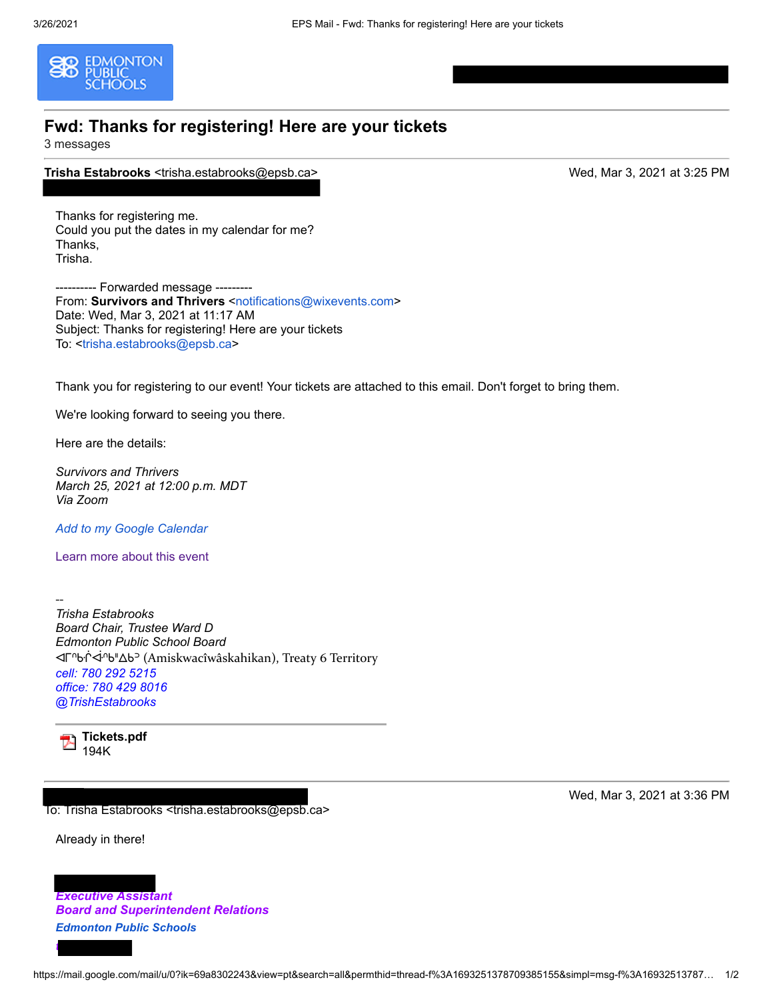

### **Fwd: Thanks for registering! Here are your tickets**

3 messages

**Trisha Estabrooks** <trisha.estabrooks@epsb.ca> Wed, Mar 3, 2021 at 3:25 PM

Thanks for registering me. Could you put the dates in my calendar for me? Thanks, Trisha.

---------- Forwarded message --------- From: **Survivors and Thrivers** <notifications@wixevents.com> Date: Wed, Mar 3, 2021 at 11:17 AM Subject: Thanks for registering! Here are your tickets To: <trisha.estabrooks@epsb.ca>

Thank you for registering to our event! Your tickets are attached to this email. Don't forget to bring them.

We're looking forward to seeing you there.

Here are the details:

*Survivors and Thrivers March 25, 2021 at 12:00 p.m. MDT Via Zoom* 

*Add to my Google Calendar*

Learn more about this event

-- *Trisha Estabrooks Board Chair, Trustee Ward D Edmonton Public School Board* ᐊᒥᐢᑿᒌᐚᐢᑲᐦᐃᑲᐣ (Amiskwacîwâskahikan), Treaty 6 Territory *cell: 780 292 5215 office: 780 429 8016 @TrishEstabrooks* 



**Tickets.pdf** 194K

To: Trisha Estabrooks <trisha.estabrooks@epsb.ca>

Already in there!

*t*

*Executive Assistant Board and Superintendent Relations Edmonton Public Schools*

Wed, Mar 3, 2021 at 3:36 PM